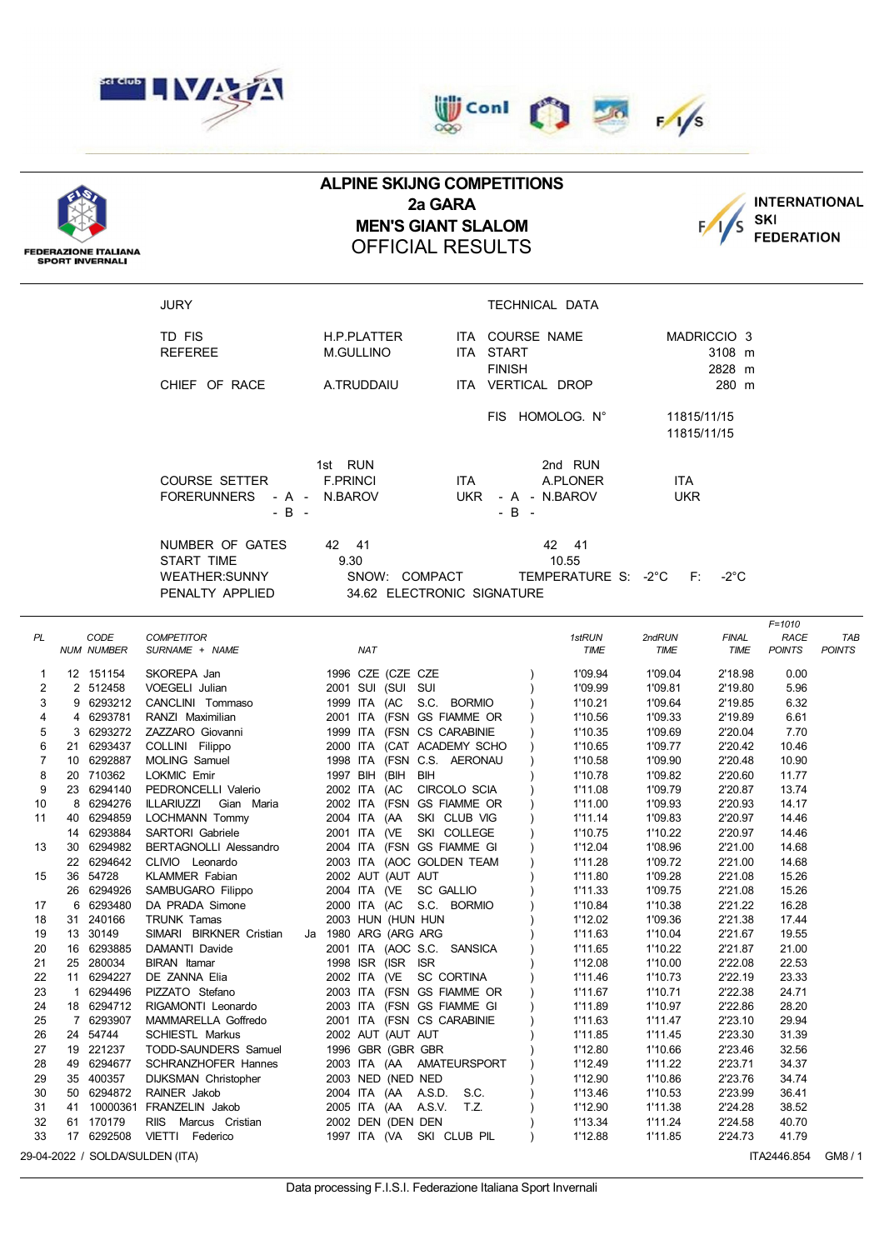

**FEDERAZIONE ITALIANA SPORT INVERNALI** 



## **ALPINE SKIJNG COMPETITIONS 2a GARA MEN'S GIANT SLALOM** OFFICIAL RESULTS



JURY TECHNICAL DATA TD FIS **H.P.PLATTER** ITA COURSE NAME MADRICCIO 3 REFEREE M.GULLINO ITA START 3108 m FINISH 2828 m CHIEF OF RACE A.TRUDDAIU ITA VERTICAL DROP 280 m FIS HOMOLOG. N° 11815/11/15 11815/11/15 1st RUN 2nd RUN COURSE SETTER F.PRINCI ITA A.PLONER ITA FORERUNNERS - A - N.BAROV UKR - A - N.BAROV UKR  $-B$  -  $-B$  -  $-B$  -NUMBER OF GATES 42 41 42 42 41 START TIME 9.30 10.55 WEATHER:SUNNY SNOW: COMPACT TEMPERATURE S: -2°C F: -2°C PENALTY APPLIED 34.62 ELECTRONIC SIGNATURE *F=1010 PL CODE COMPETITOR 1stRUN 2ndRUN FINAL RACE TAB NUM NUMBER SURNAME + NAME NAT TIME TIME TIME POINTS POINTS* 1 12 151154 SKOREPA Jan 1996 CZE (CZE CZE ) 1'09.94 1'09.04 2'18.98 0.00 2 2 512458 VOEGELI Julian 2001 SUI (SUI SUI ) 1'09.99 1'09.81 2'19.80 5.96 3 9 6293212 CANCLINI Tommaso 1999 ITA (AC S.C. BORMIO ) 1'10.21 1'09.64 2'19.85 6.32 4 4 6293781 RANZI Maximilian 2001 ITA (FSN GS FIAMME OR ) 1'10.56 1'09.33 2'19.89 6.61 5 3 6293272 ZAZZARO Giovanni 1999 ITA (FSN CS CARABINIE ) 1'10.35 1'09.69 2'20.04 7.70 6 21 6293437 COLLINI Filippo 2000 ITA (CAT ACADEMY SCHO ) 1'10.65 1'09.77 2'20.42 10.46 7 10 6292887 MOLING Samuel 1998 ITA (FSN C.S. AERONAU ) 1'10.58 1'09.90 2'20.48 10.90 8 20 710362 LOKMIC Emir 1997 BIH (BIH BIH ) 1'10.78 1'09.82 2'20.60 11.77 9 23 6294140 PEDRONCELLI Valerio 2002 ITA (AC CIRCOLO SCIA ) 1'11.08 1'09.79 2'20.87 13.74 10 8 6294276 ILLARIUZZI Gian Maria 2002 ITA (FSN GS FIAMME OR ) 1'11.00 1'09.93 2'20.93 14.17 11 40 6294859 LOCHMANN Tommy 2004 ITA (AA SKI CLUB VIG ) 1'11.14 1'09.83 2'20.97 14.46 14 6293884 SARTORI Gabriele 2001 ITA (VE SKI COLLEGE ) 1'10.75 1'10.22 2'20.97 14.46 13 30 6294982 BERTAGNOLLI Alessandro 2004 ITA (FSN GS FIAMME GI ) 1'12.04 1'08.96 2'21.00 14.68 22 6294642 CLIVIO Leonardo 2003 ITA (AOC GOLDEN TEAM ) 1'11.28 1'09.72 2'21.00 14.68

|    |    | 22 6294642 | CLIVIO Leonardo             |    |  |                   | 2003 ITA (AOC GOLDEN TEAM   | 1'11.28 | 1'09.72 | 2'21.00 | 14.68 |
|----|----|------------|-----------------------------|----|--|-------------------|-----------------------------|---------|---------|---------|-------|
| 15 |    | 36 54728   | <b>KLAMMER Fabian</b>       |    |  | 2002 AUT (AUT AUT |                             | 1'11.80 | 1'09.28 | 2'21.08 | 15.26 |
|    |    | 26 6294926 | SAMBUGARO Filippo           |    |  |                   | 2004 ITA (VE SC GALLIO      | 1'11.33 | 1'09.75 | 2'21.08 | 15.26 |
| 17 |    | 6 6293480  | DA PRADA Simone             |    |  |                   | 2000 ITA (AC S.C. BORMIO    | 1'10.84 | 1'10.38 | 2'21.22 | 16.28 |
| 18 |    | 31 240166  | <b>TRUNK Tamas</b>          |    |  | 2003 HUN (HUN HUN |                             | 1'12.02 | 1'09.36 | 2'21.38 | 17.44 |
| 19 |    | 13 30149   | SIMARI BIRKNER Cristian     | Ja |  | 1980 ARG (ARG ARG |                             | 1'11.63 | 1'10.04 | 2'21.67 | 19.55 |
| 20 |    | 16 6293885 | DAMANTI Davide              |    |  |                   | 2001 ITA (AOC S.C. SANSICA  | 1'11.65 | 1'10.22 | 2'21.87 | 21.00 |
| 21 |    | 25 280034  | <b>BIRAN</b> Itamar         |    |  | 1998 ISR (ISR ISR |                             | 1'12.08 | 1'10.00 | 2'22.08 | 22.53 |
| 22 |    | 11 6294227 | DE ZANNA Elia               |    |  |                   | 2002 ITA (VE SC CORTINA     | 1'11.46 | 1'10.73 | 2'22.19 | 23.33 |
| 23 |    | 6294496    | PIZZATO Stefano             |    |  |                   | 2003 ITA (FSN GS FIAMME OR  | 1'11.67 | 1'10.71 | 2'22.38 | 24.71 |
| 24 |    | 18 6294712 | RIGAMONTI Leonardo          |    |  |                   | 2003 ITA (FSN GS FIAMME GI  | 1'11.89 | 1'10.97 | 2'22.86 | 28.20 |
| 25 |    | 7 6293907  | MAMMARELLA Goffredo         |    |  |                   | 2001 ITA (FSN CS CARABINIE  | 1'11.63 | 1'11.47 | 2'23.10 | 29.94 |
| 26 |    | 24 54744   | <b>SCHIESTL Markus</b>      |    |  | 2002 AUT (AUT AUT |                             | 1'11.85 | 1'11.45 | 2'23.30 | 31.39 |
| 27 |    | 19 221237  | TODD-SAUNDERS Samuel        |    |  | 1996 GBR (GBR GBR |                             | 1'12.80 | 1'10.66 | 2'23.46 | 32.56 |
| 28 |    | 49 6294677 | <b>SCHRANZHOFER Hannes</b>  |    |  |                   | 2003 ITA (AA AMATEURSPORT   | 1'12.49 | 1'11.22 | 2'23.71 | 34.37 |
| 29 | 35 | 400357     | <b>DIJKSMAN Christopher</b> |    |  | 2003 NED (NED NED |                             | 1'12.90 | 1'10.86 | 2'23.76 | 34.74 |
| 30 |    | 50 6294872 | RAINER Jakob                |    |  |                   | 2004 ITA (AA A.S.D.<br>S.C. | 1'13.46 | 1'10.53 | 2'23.99 | 36.41 |
| 31 | 41 | 10000361   | FRANZELIN Jakob             |    |  |                   | 2005 ITA (AA A.S.V.<br>T.Z. | 1'12.90 | 1'11.38 | 2'24.28 | 38.52 |
| 32 | 61 | 170179     | RIIS Marcus Cristian        |    |  | 2002 DEN (DEN DEN |                             | 1'13.34 | 1'11.24 | 2'24.58 | 40.70 |
| 33 | 17 | 6292508    | VIETTI<br>Federico          |    |  |                   | 1997 ITA (VA SKI CLUB PIL   | 1'12.88 | 1'11.85 | 2'24.73 | 41.79 |

29-04-2022 / SOLDA/SULDEN (ITA) ITA2446.854 GM8 / 1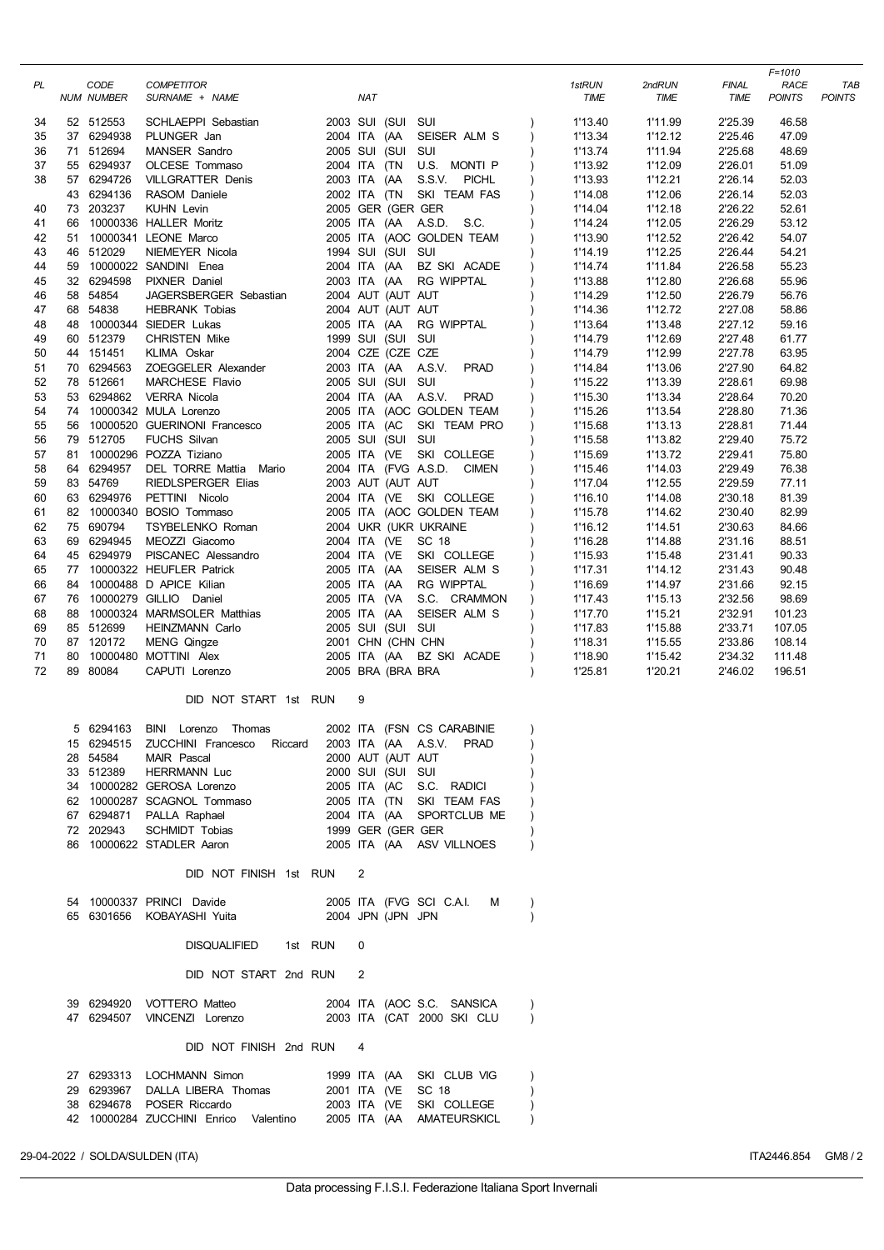| PL       | CODE<br><b>NUM NUMBER</b> | <b>COMPETITOR</b><br>SURNAME + NAME                                |                   | NAT                                    |                                                       | 1stRUN<br>TIME     | 2ndRUN<br>TIME     | <b>FINAL</b><br><b>TIME</b> | $F = 1010$<br>RACE<br><b>POINTS</b> | <b>TAE</b><br><b>POINTS</b> |
|----------|---------------------------|--------------------------------------------------------------------|-------------------|----------------------------------------|-------------------------------------------------------|--------------------|--------------------|-----------------------------|-------------------------------------|-----------------------------|
| 34       | 52 512553                 | SCHLAEPPI Sebastian                                                |                   | 2003 SUI (SUI SUI                      |                                                       | 1'13.40            | 1'11.99            | 2'25.39                     | 46.58                               |                             |
| 35       | 37 6294938                | PLUNGER Jan                                                        |                   | 2004 ITA (AA                           | SEISER ALM S                                          | 1'13.34            | 1'12.12            | 2'25.46                     | 47.09                               |                             |
| 36       | 71 512694                 | <b>MANSER Sandro</b>                                               |                   | 2005 SUI (SUI SUI                      |                                                       | 1'13.74            | 1'11.94            | 2'25.68                     | 48.69                               |                             |
| 37       | 55 6294937                | OLCESE Tommaso                                                     |                   | 2004 ITA (TN                           | U.S. MONTI P                                          | 1'13.92            | 1'12.09            | 2'26.01                     | 51.09                               |                             |
| 38       | 57 6294726                | <b>VILLGRATTER Denis</b>                                           |                   | 2003 ITA (AA                           | S.S.V. PICHL                                          | 1'13.93            | 1'12.21            | 2'26.14                     | 52.03                               |                             |
| 40       | 43 6294136<br>73 203237   | RASOM Daniele<br><b>KUHN Levin</b>                                 |                   | 2005 GER (GER GER                      | 2002 ITA (TN SKI TEAM FAS                             | 1'14.08<br>1'14.04 | 1'12.06<br>1'12.18 | 2'26.14<br>2'26.22          | 52.03<br>52.61                      |                             |
| 41       |                           | 66 10000336 HALLER Moritz                                          |                   |                                        | 2005 ITA (AA A.S.D. S.C.                              | 1'14.24            | 1'12.05            | 2'26.29                     | 53.12                               |                             |
| 42       | 51                        | 10000341 LEONE Marco                                               |                   |                                        | 2005 ITA (AOC GOLDEN TEAM                             | 1'13.90            | 1'12.52            | 2'26.42                     | 54.07                               |                             |
| 43       | 46 512029                 | NIEMEYER Nicola                                                    |                   | 1994 SUI (SUI SUI                      |                                                       | 1'14.19            | 1'12.25            | 2'26.44                     | 54.21                               |                             |
| 44       |                           | 59 10000022 SANDINI Enea                                           |                   | 2004 ITA (AA                           | BZ SKI ACADE                                          | 1'14.74            | 1'11.84            | 2'26.58                     | 55.23                               |                             |
| 45       | 32 6294598                | PIXNER Daniel                                                      |                   |                                        | 2003 ITA (AA RG WIPPTAL                               | 1'13.88            | 1'12.80            | 2'26.68                     | 55.96                               |                             |
| 46       | 58 54854                  | JAGERSBERGER Sebastian                                             |                   | 2004 AUT (AUT AUT                      |                                                       | 1'14.29            | 1'12.50            | 2'26.79                     | 56.76                               |                             |
| 47       | 68 54838                  | <b>HEBRANK Tobias</b>                                              |                   | 2004 AUT (AUT AUT                      |                                                       | 1'14.36            | 1'12.72            | 2'27.08                     | 58.86                               |                             |
| 48       |                           | 48 10000344 SIEDER Lukas                                           |                   | 2005 ITA (AA                           | RG WIPPTAL                                            | 1'13.64            | 1'13.48            | 2'27.12                     | 59.16                               |                             |
| 49       | 60 512379<br>44 151451    | <b>CHRISTEN Mike</b>                                               |                   | 1999 SUI (SUI SUI<br>2004 CZE (CZE CZE |                                                       | 1'14.79            | 1'12.69            | 2'27.48<br>2'27.78          | 61.77                               |                             |
| 50<br>51 | 70 6294563                | KLIMA Oskar<br>ZOEGGELER Alexander                                 |                   | 2003 ITA (AA A.S.V.                    | <b>PRAD</b>                                           | 1'14.79<br>1'14.84 | 1'12.99<br>1'13.06 | 2'27.90                     | 63.95<br>64.82                      |                             |
| 52       | 78 512661                 | MARCHESE Flavio                                                    |                   | 2005 SUI (SUI SUI                      |                                                       | 1'15.22            | 1'13.39            | 2'28.61                     | 69.98                               |                             |
| 53       | 53 6294862                | <b>VERRA Nicola</b>                                                |                   | 2004 ITA (AA A.S.V.                    | PRAD                                                  | 1'15.30            | 1'13.34            | 2'28.64                     | 70.20                               |                             |
| 54       |                           | 74 10000342 MULA Lorenzo                                           |                   |                                        | 2005 ITA (AOC GOLDEN TEAM                             | 1'15.26            | 1'13.54            | 2'28.80                     | 71.36                               |                             |
| 55       | 56                        | 10000520 GUERINONI Francesco                                       |                   | 2005 ITA (AC                           | SKI TEAM PRO                                          | 1'15.68            | 1'13.13            | 2'28.81                     | 71.44                               |                             |
| 56       | 79 512705                 | <b>FUCHS Silvan</b>                                                |                   | 2005 SUI (SUI SUI                      |                                                       | 1'15.58            | 1'13.82            | 2'29.40                     | 75.72                               |                             |
| 57       | 81                        | 10000296 POZZA Tiziano                                             |                   |                                        | 2005 ITA (VE SKI COLLEGE                              | 1'15.69            | 1'13.72            | 2'29.41                     | 75.80                               |                             |
| 58       | 64 6294957                | DEL TORRE Mattia Mario                                             |                   |                                        | 2004 ITA (FVG A.S.D. CIMEN                            | 1'15.46            | 1'14.03            | 2'29.49                     | 76.38                               |                             |
| 59       | 83 54769                  | <b>RIEDLSPERGER Elias</b>                                          |                   | 2003 AUT (AUT AUT                      |                                                       | 1'17.04            | 1'12.55            | 2'29.59                     | 77.11                               |                             |
| 60       | 63 6294976                | PETTINI Nicolo                                                     |                   |                                        | 2004 ITA (VE SKI COLLEGE                              | 1'16.10            | 1'14.08            | 2'30.18                     | 81.39                               |                             |
| 61       |                           | 82 10000340 BOSIO Tommaso                                          |                   |                                        | 2005 ITA (AOC GOLDEN TEAM                             | 1'15.78            | 1'14.62            | 2'30.40                     | 82.99                               |                             |
| 62<br>63 | 75 690794<br>69 6294945   | TSYBELENKO Roman<br>MEOZZI Giacomo                                 |                   | 2004 ITA (VE SC 18                     | 2004 UKR (UKR UKRAINE                                 | 1'16.12<br>1'16.28 | 1'14.51<br>1'14.88 | 2'30.63<br>2'31.16          | 84.66<br>88.51                      |                             |
| 64       | 45 6294979                | PISCANEC Alessandro                                                |                   |                                        | 2004 ITA (VE SKI COLLEGE                              | 1'15.93            | 1'15.48            | 2'31.41                     | 90.33                               |                             |
| 65       |                           | 77 10000322 HEUFLER Patrick                                        |                   |                                        | 2005 ITA (AA SEISER ALM S                             | 1'17.31            | 1'14.12            | 2'31.43                     | 90.48                               |                             |
| 66       |                           | 84 10000488 D APICE Kilian                                         |                   | 2005 ITA (AA                           | RG WIPPTAL                                            | 1'16.69            | 1'14.97            | 2'31.66                     | 92.15                               |                             |
| 67       |                           | 76 10000279 GILLIO Daniel                                          |                   |                                        | 2005 ITA (VA S.C. CRAMMON                             | 1'17.43            | 1'15.13            | 2'32.56                     | 98.69                               |                             |
| 68       | 88                        | 10000324 MARMSOLER Matthias                                        |                   | 2005 ITA (AA                           | SEISER ALM S                                          | 1'17.70            | 1'15.21            | 2'32.91                     | 101.23                              |                             |
| 69       | 85 512699                 | <b>HEINZMANN Carlo</b>                                             |                   | 2005 SUI (SUI SUI                      |                                                       | 1'17.83            | 1'15.88            | 2'33.71                     | 107.05                              |                             |
| 70       | 87 120172                 | <b>MENG Qingze</b>                                                 |                   | 2001 CHN (CHN CHN                      |                                                       | 1'18.31            | 1'15.55            | 2'33.86                     | 108.14                              |                             |
| 71       |                           | 80 10000480 MOTTINI Alex                                           |                   |                                        | 2005 ITA (AA BZ SKI ACADE                             | 1'18.90            | 1'15.42            | 2'34.32                     | 111.48                              |                             |
| 72       | 89 80084                  | CAPUTI Lorenzo                                                     |                   | 2005 BRA (BRA BRA                      |                                                       | 1'25.81            | 1'20.21            | 2'46.02                     | 196.51                              |                             |
|          |                           | DID NOT START 1st RUN                                              |                   | 9                                      |                                                       |                    |                    |                             |                                     |                             |
|          | 6294163<br>5              | BINI<br>Thomas<br>Lorenzo                                          |                   |                                        | 2002 ITA (FSN CS CARABINIE                            |                    |                    |                             |                                     |                             |
|          |                           | 15 6294515 ZUCCHINI Francesco Riccard                              |                   |                                        | 2003 ITA (AA A.S.V. PRAD                              |                    |                    |                             |                                     |                             |
|          | 28 54584                  | MAIR Pascal                                                        |                   | 2000 AUT (AUT AUT                      |                                                       |                    |                    |                             |                                     |                             |
|          | 33 512389                 | <b>HERRMANN Luc</b>                                                |                   | 2000 SUI (SUI SUI                      |                                                       |                    |                    |                             |                                     |                             |
|          |                           | 34 10000282 GEROSA Lorenzo<br>62 10000287 SCAGNOL Tommaso          |                   |                                        | 2005 ITA (AC S.C. RADICI<br>2005 ITA (TN SKI TEAM FAS |                    |                    |                             |                                     |                             |
|          |                           | 67 6294871 PALLA Raphael                                           |                   |                                        |                                                       |                    |                    |                             |                                     |                             |
|          | 72 202943                 | SCHMIDT Tobias                                                     |                   |                                        | 2004 ITA (AA SPORTCLUB ME<br>1999 GER (GER GER        |                    |                    |                             |                                     |                             |
|          |                           | 86 10000622 STADLER Aaron                                          |                   |                                        | 2005 ITA (AA ASV VILLNOES                             |                    |                    |                             |                                     |                             |
|          |                           | DID NOT FINISH 1st RUN                                             |                   | 2                                      |                                                       |                    |                    |                             |                                     |                             |
|          |                           | 54 10000337 PRINCI Davide                                          |                   |                                        | 2005 ITA (FVG SCI C.A.I. M                            |                    |                    |                             |                                     |                             |
|          |                           | 65 6301656 KOBAYASHI Yuita                                         | 2004 JPN (JPN JPN |                                        |                                                       | $\lambda$          |                    |                             |                                     |                             |
|          |                           | <b>DISQUALIFIED</b>                                                | 1st RUN           | 0                                      |                                                       |                    |                    |                             |                                     |                             |
|          |                           | DID NOT START 2nd RUN                                              |                   | 2                                      |                                                       |                    |                    |                             |                                     |                             |
|          |                           | 39 6294920 VOTTERO Matteo                                          |                   |                                        | 2004 ITA (AOC S.C. SANSICA                            |                    |                    |                             |                                     |                             |
|          |                           | 47 6294507 VINCENZI Lorenzo  2003 ITA (CAT 2000 SKI CLU            |                   |                                        |                                                       | $\lambda$          |                    |                             |                                     |                             |
|          |                           | DID NOT FINISH 2nd RUN                                             |                   | 4                                      |                                                       |                    |                    |                             |                                     |                             |
|          |                           | 27 6293313 LOCHMANN Simon                                          |                   |                                        | 1999 ITA (AA SKI CLUB VIG                             |                    |                    |                             |                                     |                             |
|          |                           | 29 6293967 DALLA LIBERA Thomas                                     |                   |                                        | 2001 ITA (VE SC 18<br>2003 ITA (VE SKI COLLEGE        |                    |                    |                             |                                     |                             |
|          |                           | 38 6294678 POSER Riccardo<br>42 10000284 ZUCCHINI Enrico Valentino |                   |                                        | 2005 ITA (AA AMATEURSKICL                             |                    |                    |                             |                                     |                             |
|          |                           |                                                                    |                   |                                        |                                                       |                    |                    |                             |                                     |                             |
|          |                           |                                                                    |                   |                                        |                                                       |                    |                    |                             |                                     |                             |

29-04-2022 / SOLDA/SULDEN (ITA) ITA2446.854 GM8 / 2